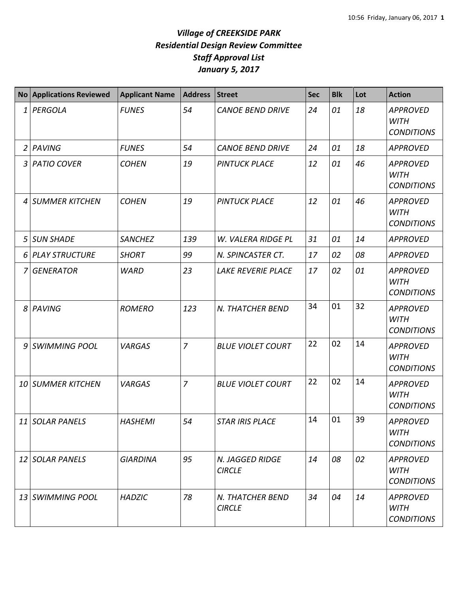## *Village of CREEKSIDE PARK Residential Design Review Committee Staff Approval List January 5, 2017*

|    | No Applications Reviewed | <b>Applicant Name</b> | <b>Address</b> | <b>Street</b>                     | <b>Sec</b> | <b>Blk</b> | Lot | <b>Action</b>                                       |
|----|--------------------------|-----------------------|----------------|-----------------------------------|------------|------------|-----|-----------------------------------------------------|
| 1  | PERGOLA                  | <b>FUNES</b>          | 54             | <b>CANOE BEND DRIVE</b>           | 24         | 01         | 18  | <b>APPROVED</b><br><b>WITH</b><br><b>CONDITIONS</b> |
| 2  | PAVING                   | <b>FUNES</b>          | 54             | <b>CANOE BEND DRIVE</b>           | 24         | 01         | 18  | <b>APPROVED</b>                                     |
| 3  | <b>PATIO COVER</b>       | <b>COHEN</b>          | 19             | <b>PINTUCK PLACE</b>              | 12         | 01         | 46  | <b>APPROVED</b><br><b>WITH</b><br><b>CONDITIONS</b> |
| 4  | <b>SUMMER KITCHEN</b>    | <b>COHEN</b>          | 19             | <b>PINTUCK PLACE</b>              | 12         | 01         | 46  | <b>APPROVED</b><br><b>WITH</b><br><b>CONDITIONS</b> |
| 5  | <b>SUN SHADE</b>         | <b>SANCHEZ</b>        | 139            | W. VALERA RIDGE PL                | 31         | 01         | 14  | <b>APPROVED</b>                                     |
|    | 6 PLAY STRUCTURE         | <b>SHORT</b>          | 99             | N. SPINCASTER CT.                 | 17         | 02         | 08  | <b>APPROVED</b>                                     |
|    | 7 GENERATOR              | <b>WARD</b>           | 23             | LAKE REVERIE PLACE                | 17         | 02         | 01  | <b>APPROVED</b><br><b>WITH</b><br><b>CONDITIONS</b> |
|    | 8 PAVING                 | <b>ROMERO</b>         | 123            | N. THATCHER BEND                  | 34         | 01         | 32  | <b>APPROVED</b><br><b>WITH</b><br><b>CONDITIONS</b> |
| 9  | <b>SWIMMING POOL</b>     | <b>VARGAS</b>         | $\overline{7}$ | <b>BLUE VIOLET COURT</b>          | 22         | 02         | 14  | <b>APPROVED</b><br><b>WITH</b><br><b>CONDITIONS</b> |
| 10 | <b>SUMMER KITCHEN</b>    | <b>VARGAS</b>         | $\overline{7}$ | <b>BLUE VIOLET COURT</b>          | 22         | 02         | 14  | <b>APPROVED</b><br><b>WITH</b><br><b>CONDITIONS</b> |
|    | 11 SOLAR PANELS          | <b>HASHEMI</b>        | 54             | <b>STAR IRIS PLACE</b>            | 14         | 01         | 39  | <b>APPROVED</b><br><b>WITH</b><br><b>CONDITIONS</b> |
|    | 12 SOLAR PANELS          | <b>GIARDINA</b>       | 95             | N. JAGGED RIDGE<br><b>CIRCLE</b>  | 14         | 08         | 02  | <b>APPROVED</b><br><b>WITH</b><br><b>CONDITIONS</b> |
|    | 13 SWIMMING POOL         | <b>HADZIC</b>         | 78             | N. THATCHER BEND<br><b>CIRCLE</b> | 34         | 04         | 14  | <b>APPROVED</b><br><b>WITH</b><br><b>CONDITIONS</b> |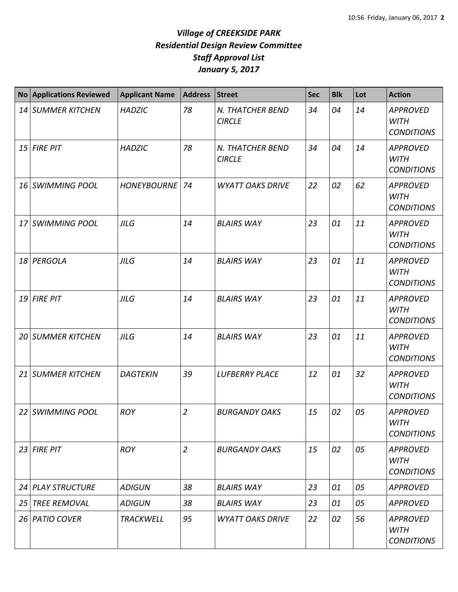## *Village of CREEKSIDE PARK Residential Design Review Committee Staff Approval List January 5, 2017*

|    | <b>No Applications Reviewed</b> | <b>Applicant Name</b> | <b>Address</b> | <b>Street</b>                     | <b>Sec</b> | <b>Blk</b> | Lot | <b>Action</b>                                       |
|----|---------------------------------|-----------------------|----------------|-----------------------------------|------------|------------|-----|-----------------------------------------------------|
| 14 | <b>SUMMER KITCHEN</b>           | <b>HADZIC</b>         | 78             | N. THATCHER BEND<br><b>CIRCLE</b> | 34         | 04         | 14  | <b>APPROVED</b><br><b>WITH</b><br><b>CONDITIONS</b> |
|    | 15 FIRE PIT                     | <b>HADZIC</b>         | 78             | N. THATCHER BEND<br><b>CIRCLE</b> | 34         | 04         | 14  | <b>APPROVED</b><br><b>WITH</b><br><b>CONDITIONS</b> |
| 16 | <b>SWIMMING POOL</b>            | <b>HONEYBOURNE</b>    | 74             | <b>WYATT OAKS DRIVE</b>           | 22         | 02         | 62  | <b>APPROVED</b><br><b>WITH</b><br><b>CONDITIONS</b> |
| 17 | <b>SWIMMING POOL</b>            | <b>JILG</b>           | 14             | <b>BLAIRS WAY</b>                 | 23         | 01         | 11  | <b>APPROVED</b><br><b>WITH</b><br><b>CONDITIONS</b> |
|    | 18 PERGOLA                      | <b>JILG</b>           | 14             | <b>BLAIRS WAY</b>                 | 23         | 01         | 11  | <b>APPROVED</b><br><b>WITH</b><br><b>CONDITIONS</b> |
| 19 | <b>FIRE PIT</b>                 | <b>JILG</b>           | 14             | <b>BLAIRS WAY</b>                 | 23         | 01         | 11  | <b>APPROVED</b><br><b>WITH</b><br><b>CONDITIONS</b> |
| 20 | <b>SUMMER KITCHEN</b>           | <b>JILG</b>           | 14             | <b>BLAIRS WAY</b>                 | 23         | 01         | 11  | <b>APPROVED</b><br><b>WITH</b><br><b>CONDITIONS</b> |
| 21 | <b>SUMMER KITCHEN</b>           | <b>DAGTEKIN</b>       | 39             | <b>LUFBERRY PLACE</b>             | 12         | 01         | 32  | <b>APPROVED</b><br><b>WITH</b><br><b>CONDITIONS</b> |
|    | 22 SWIMMING POOL                | <b>ROY</b>            | $\overline{2}$ | <b>BURGANDY OAKS</b>              | 15         | 02         | 05  | <b>APPROVED</b><br>WITH<br><b>CONDITIONS</b>        |
|    | 23 FIRE PIT                     | <b>ROY</b>            | $\overline{2}$ | <b>BURGANDY OAKS</b>              | 15         | 02         | 05  | <b>APPROVED</b><br><b>WITH</b><br><b>CONDITIONS</b> |
| 24 | <b>PLAY STRUCTURE</b>           | <b>ADIGUN</b>         | 38             | <b>BLAIRS WAY</b>                 | 23         | 01         | 05  | <b>APPROVED</b>                                     |
| 25 | <b>TREE REMOVAL</b>             | <b>ADIGUN</b>         | 38             | <b>BLAIRS WAY</b>                 | 23         | 01         | 05  | <b>APPROVED</b>                                     |
|    | 26 PATIO COVER                  | <b>TRACKWELL</b>      | 95             | <b>WYATT OAKS DRIVE</b>           | 22         | 02         | 56  | <b>APPROVED</b><br><b>WITH</b><br><b>CONDITIONS</b> |